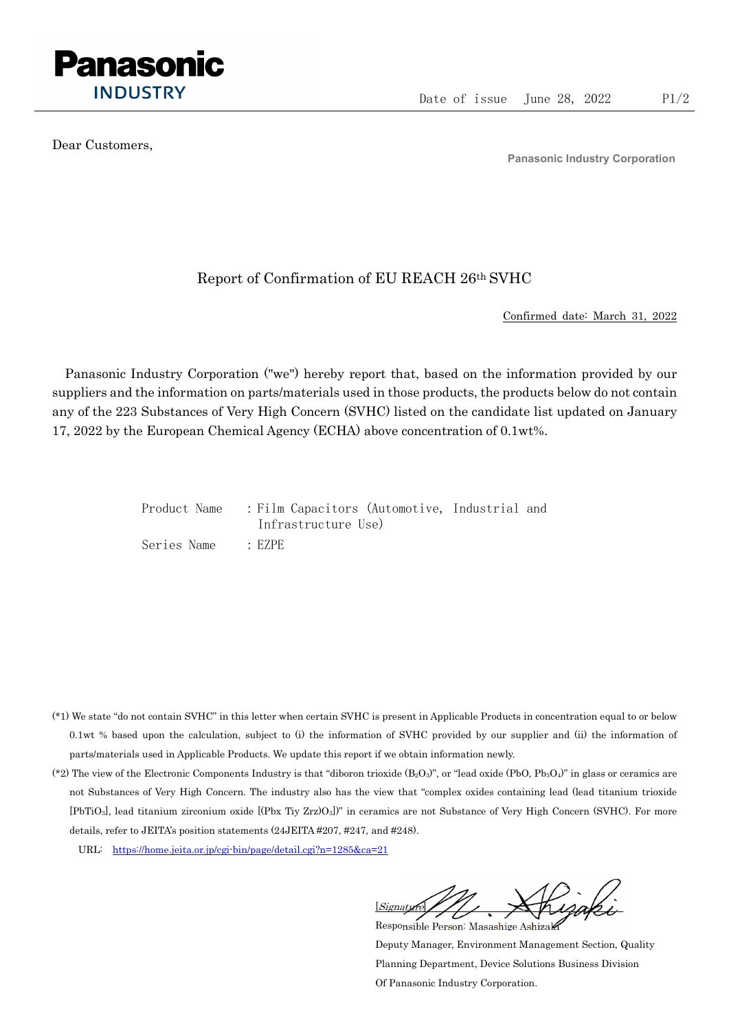

Dear Customers,

Panasonic Industry Corporation

## Report of Confirmation of EU REACH 26th SVHC

Confirmed date: March 31, 2022

Panasonic Industry Corporation ("we") hereby report that, based on the information provided by our suppliers and the information on parts/materials used in those products, the products below do not contain any of the 223 Substances of Very High Concern (SVHC) listed on the candidate list updated on January 17, 2022 by the European Chemical Agency (ECHA) above concentration of 0.1wt%.

|             | Product Name : Film Capacitors (Automotive, Industrial and |  |
|-------------|------------------------------------------------------------|--|
|             | Infrastructure Use)                                        |  |
| Series Name | $\cdot$ EZPE                                               |  |

- (\*1) We state "do not contain SVHC" in this letter when certain SVHC is present in Applicable Products in concentration equal to or below 0.1wt % based upon the calculation, subject to (i) the information of SVHC provided by our supplier and (ii) the information of parts/materials used in Applicable Products. We update this report if we obtain information newly.
- (\*2) The view of the Electronic Components Industry is that "diboron trioxide  $(B_2O_3)$ ", or "lead oxide (PbO, Pb<sub>3</sub>O<sub>4</sub>)" in glass or ceramics are not Substances of Very High Concern. The industry also has the view that "complex oxides containing lead (lead titanium trioxide [PbTiO3], lead titanium zirconium oxide [(Pbx Tiy Zrz)O3])" in ceramics are not Substance of Very High Concern (SVHC). For more details, refer to JEITA's position statements (24JEITA #207, #247, and #248).
	- URL: https://home.jeita.or.jp/cgi-bin/page/detail.cgi?n=1285&ca=21

[Signature] Responsible Person: Masashige Ashizaki

Deputy Manager, Environment Management Section, Quality Planning Department, Device Solutions Business Division Of Panasonic Industry Corporation.